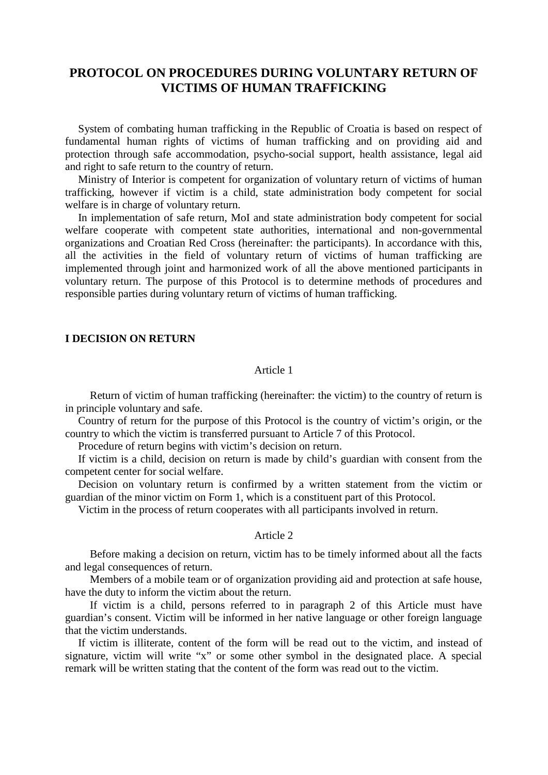# **PROTOCOL ON PROCEDURES DURING VOLUNTARY RETURN OF VICTIMS OF HUMAN TRAFFICKING**

System of combating human trafficking in the Republic of Croatia is based on respect of fundamental human rights of victims of human trafficking and on providing aid and protection through safe accommodation, psycho-social support, health assistance, legal aid and right to safe return to the country of return.

Ministry of Interior is competent for organization of voluntary return of victims of human trafficking, however if victim is a child, state administration body competent for social welfare is in charge of voluntary return.

In implementation of safe return, MoI and state administration body competent for social welfare cooperate with competent state authorities, international and non-governmental organizations and Croatian Red Cross (hereinafter: the participants). In accordance with this, all the activities in the field of voluntary return of victims of human trafficking are implemented through joint and harmonized work of all the above mentioned participants in voluntary return. The purpose of this Protocol is to determine methods of procedures and responsible parties during voluntary return of victims of human trafficking.

### **I DECISION ON RETURN**

### Article 1

Return of victim of human trafficking (hereinafter: the victim) to the country of return is in principle voluntary and safe.

Country of return for the purpose of this Protocol is the country of victim's origin, or the country to which the victim is transferred pursuant to Article 7 of this Protocol.

Procedure of return begins with victim's decision on return.

If victim is a child, decision on return is made by child's guardian with consent from the competent center for social welfare.

Decision on voluntary return is confirmed by a written statement from the victim or guardian of the minor victim on Form 1, which is a constituent part of this Protocol.

Victim in the process of return cooperates with all participants involved in return.

## Article 2

Before making a decision on return, victim has to be timely informed about all the facts and legal consequences of return.

Members of a mobile team or of organization providing aid and protection at safe house, have the duty to inform the victim about the return.

If victim is a child, persons referred to in paragraph 2 of this Article must have guardian's consent. Victim will be informed in her native language or other foreign language that the victim understands.

If victim is illiterate, content of the form will be read out to the victim, and instead of signature, victim will write "x" or some other symbol in the designated place. A special remark will be written stating that the content of the form was read out to the victim.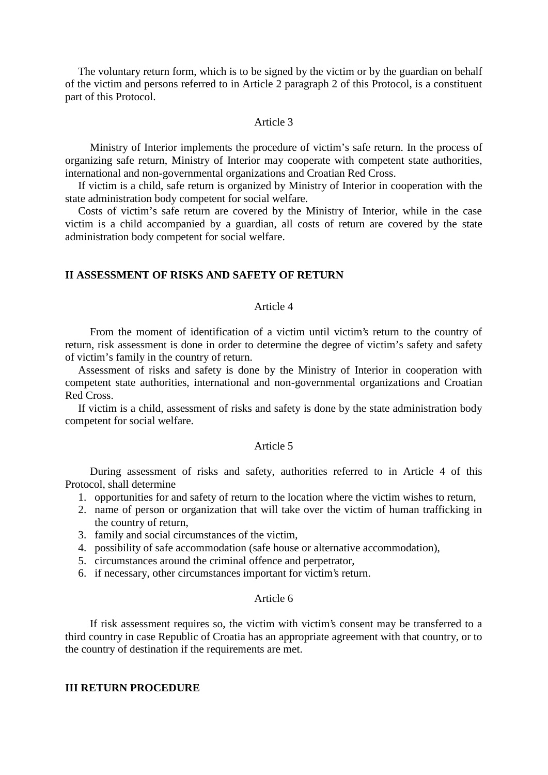The voluntary return form, which is to be signed by the victim or by the guardian on behalf of the victim and persons referred to in Article 2 paragraph 2 of this Protocol, is a constituent part of this Protocol.

## Article 3

Ministry of Interior implements the procedure of victim's safe return. In the process of organizing safe return, Ministry of Interior may cooperate with competent state authorities, international and non-governmental organizations and Croatian Red Cross.

If victim is a child, safe return is organized by Ministry of Interior in cooperation with the state administration body competent for social welfare.

Costs of victim's safe return are covered by the Ministry of Interior, while in the case victim is a child accompanied by a guardian, all costs of return are covered by the state administration body competent for social welfare.

## **II ASSESSMENT OF RISKS AND SAFETY OF RETURN**

## Article 4

From the moment of identification of a victim until victim's return to the country of return, risk assessment is done in order to determine the degree of victim's safety and safety of victim's family in the country of return.

Assessment of risks and safety is done by the Ministry of Interior in cooperation with competent state authorities, international and non-governmental organizations and Croatian Red Cross.

If victim is a child, assessment of risks and safety is done by the state administration body competent for social welfare.

#### Article 5

During assessment of risks and safety, authorities referred to in Article 4 of this Protocol, shall determine

- 1. opportunities for and safety of return to the location where the victim wishes to return,
- 2. name of person or organization that will take over the victim of human trafficking in the country of return,
- 3. family and social circumstances of the victim,
- 4. possibility of safe accommodation (safe house or alternative accommodation),
- 5. circumstances around the criminal offence and perpetrator,
- 6. if necessary, other circumstances important for victim's return.

## Article 6

If risk assessment requires so, the victim with victim's consent may be transferred to a third country in case Republic of Croatia has an appropriate agreement with that country, or to the country of destination if the requirements are met.

## **III RETURN PROCEDURE**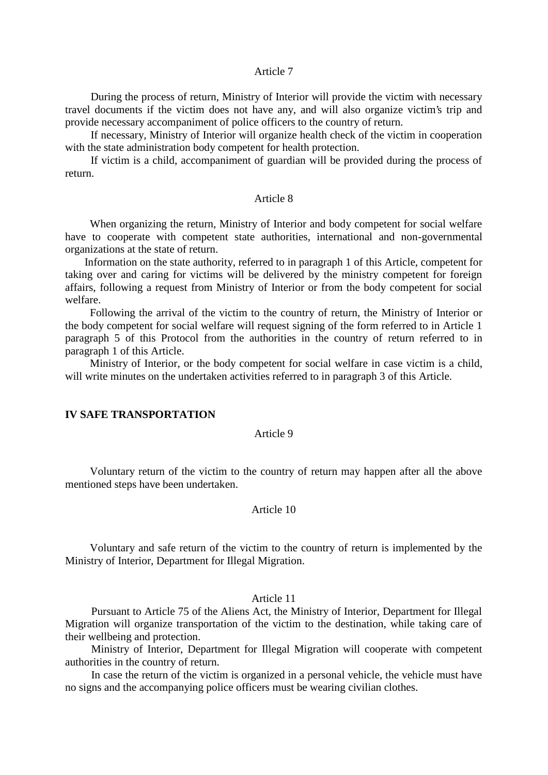#### Article 7

During the process of return, Ministry of Interior will provide the victim with necessary travel documents if the victim does not have any, and will also organize victim's trip and provide necessary accompaniment of police officers to the country of return.

If necessary, Ministry of Interior will organize health check of the victim in cooperation with the state administration body competent for health protection.

If victim is a child, accompaniment of guardian will be provided during the process of return.

## Article 8

When organizing the return, Ministry of Interior and body competent for social welfare have to cooperate with competent state authorities, international and non-governmental organizations at the state of return.

Information on the state authority, referred to in paragraph 1 of this Article, competent for taking over and caring for victims will be delivered by the ministry competent for foreign affairs, following a request from Ministry of Interior or from the body competent for social welfare.

Following the arrival of the victim to the country of return, the Ministry of Interior or the body competent for social welfare will request signing of the form referred to in Article 1 paragraph 5 of this Protocol from the authorities in the country of return referred to in paragraph 1 of this Article.

Ministry of Interior, or the body competent for social welfare in case victim is a child, will write minutes on the undertaken activities referred to in paragraph 3 of this Article.

#### **IV SAFE TRANSPORTATION**

## Article 9

Voluntary return of the victim to the country of return may happen after all the above mentioned steps have been undertaken.

## Article 10

Voluntary and safe return of the victim to the country of return is implemented by the Ministry of Interior, Department for Illegal Migration.

## Article 11

Pursuant to Article 75 of the Aliens Act, the Ministry of Interior, Department for Illegal Migration will organize transportation of the victim to the destination, while taking care of their wellbeing and protection.

Ministry of Interior, Department for Illegal Migration will cooperate with competent authorities in the country of return.

In case the return of the victim is organized in a personal vehicle, the vehicle must have no signs and the accompanying police officers must be wearing civilian clothes.